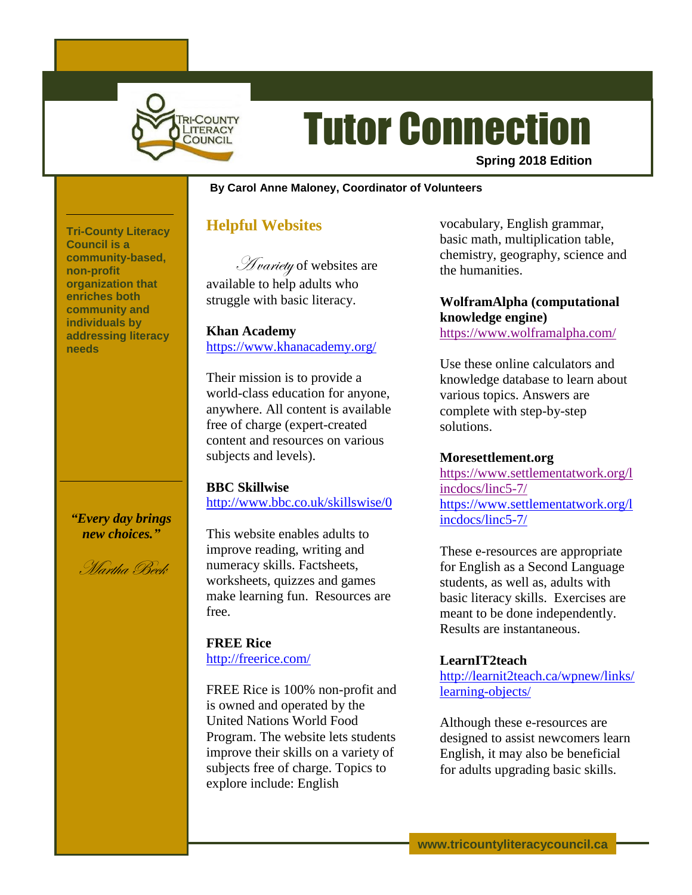

# Tutor Connection

**Spring 2018 Edition**

#### **By Carol Anne Maloney, Coordinator of Volunteers**

# **Helpful Websites**

Hvariety of websites are available to help adults who struggle with basic literacy.

**Khan Academy** <https://www.khanacademy.org/>

Their mission is to provide a world-class education for anyone, anywhere. All content is available free of charge (expert-created content and resources on various subjects and levels).

#### **BBC Skillwise**

<http://www.bbc.co.uk/skillswise/0>

This website enables adults to improve reading, writing and numeracy skills. Factsheets, worksheets, quizzes and games make learning fun. Resources are free.

**FREE Rice** <http://freerice.com/>

FREE Rice is 100% non-profit and is owned and operated by the United Nations World Food Program. The website lets students improve their skills on a variety of subjects free of charge. Topics to explore include: English

vocabulary, English grammar, basic math, multiplication table, chemistry, geography, science and the humanities.

**WolframAlpha (computational knowledge engine)** <https://www.wolframalpha.com/>

Use these online calculators and knowledge database to learn about various topics. Answers are complete with step-by-step solutions.

#### **Moresettlement.org**

[https://www.settlementatwork.org/l](https://www.settlementatwork.org/lincdocs/linc5-7/) [incdocs/linc5-7/](https://www.settlementatwork.org/lincdocs/linc5-7/) [https://www.settlementatwork.org/l](https://www.settlementatwork.org/lincdocs/linc5-7/) [incdocs/linc5-7/](https://www.settlementatwork.org/lincdocs/linc5-7/)

These e-resources are appropriate for English as a Second Language students, as well as, adults with basic literacy skills. Exercises are meant to be done independently. Results are instantaneous.

# **LearnIT2teach**

[http://learnit2teach.ca/wpnew/links/](http://learnit2teach.ca/wpnew/links/learning-objects/) [learning-objects/](http://learnit2teach.ca/wpnew/links/learning-objects/)

Although these e-resources are designed to assist newcomers learn English, it may also be beneficial for adults upgrading basic skills.

**Tri-County Literacy Council is a community-based, non-profit organization that enriches both community and individuals by addressing literacy needs**

### *"Every day brings new choices."*

Martha Beck